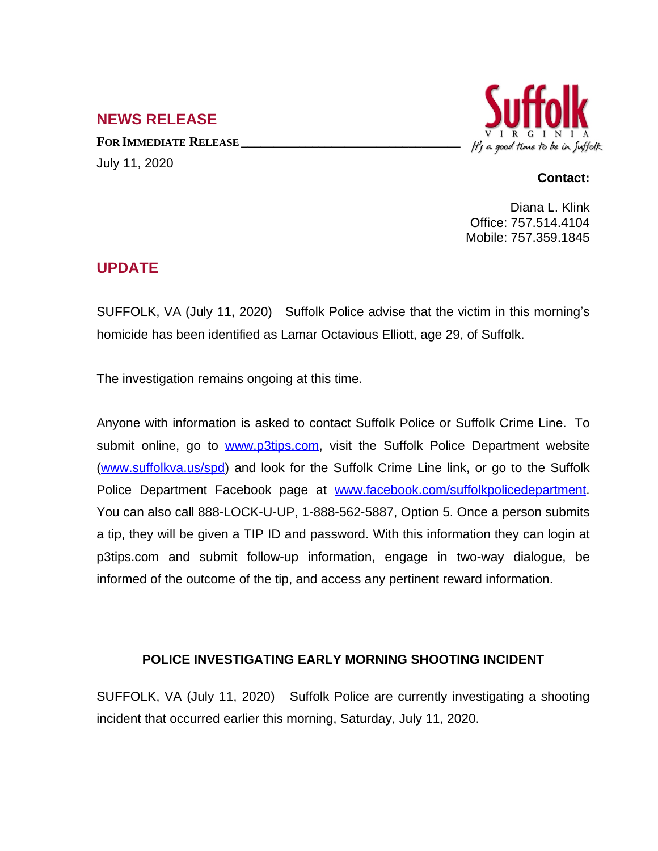## **NEWS RELEASE**

**FOR IMMEDIATE RELEASE \_\_\_\_\_\_\_\_\_\_\_\_\_\_\_\_\_\_\_\_\_\_\_\_\_\_\_\_\_\_\_\_\_\_** July 11, 2020



## **Contact:**

Diana L. Klink Office: 757.514.4104 Mobile: 757.359.1845

## **UPDATE**

SUFFOLK, VA (July 11, 2020) Suffolk Police advise that the victim in this morning's homicide has been identified as Lamar Octavious Elliott, age 29, of Suffolk.

The investigation remains ongoing at this time.

Anyone with information is asked to contact Suffolk Police or Suffolk Crime Line. To submit online, go to [www.p3tips.com](http://www.p3tips.com), visit the Suffolk Police Department website ([www.suffolkva.us/spd](http://www.suffolkva.us/spd)) and look for the Suffolk Crime Line link, or go to the Suffolk Police Department Facebook page at [www.facebook.com/suffolkpolicedepartment.](http://www.facebook.com/suffolkpolicedepartment) You can also call 888-LOCK-U-UP, 1-888-562-5887, Option 5. Once a person submits a tip, they will be given a TIP ID and password. With this information they can login at p3tips.com and submit follow-up information, engage in two-way dialogue, be informed of the outcome of the tip, and access any pertinent reward information.

## **POLICE INVESTIGATING EARLY MORNING SHOOTING INCIDENT**

SUFFOLK, VA (July 11, 2020) Suffolk Police are currently investigating a shooting incident that occurred earlier this morning, Saturday, July 11, 2020.